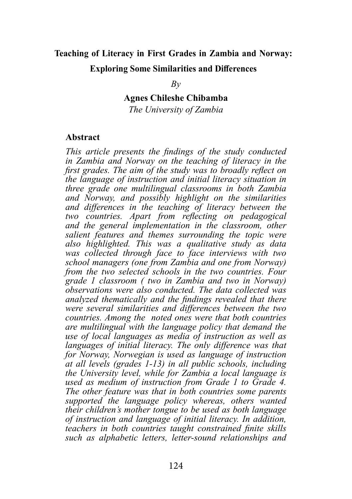# **Teaching of Literacy in First Grades in Zambia and Norway: Exploring Some Similarities and Differences**

*By*

**Agnes Chileshe Chibamba** 

*The University of Zambia*

#### **Abstract**

*This article presents the findings of the study conducted in Zambia and Norway on the teaching of literacy in the first grades. The aim of the study was to broadly reflect on the language of instruction and initial literacy situation in three grade one multilingual classrooms in both Zambia and Norway, and possibly highlight on the similarities and differences in the teaching of literacy between the two countries. Apart from reflecting on pedagogical and the general implementation in the classroom, other salient features and themes surrounding the topic were also highlighted. This was a qualitative study as data was collected through face to face interviews with two school managers (one from Zambia and one from Norway) from the two selected schools in the two countries. Four grade 1 classroom ( two in Zambia and two in Norway) observations were also conducted. The data collected was analyzed thematically and the findings revealed that there were several similarities and differences between the two countries. Among the noted ones were that both countries are multilingual with the language policy that demand the use of local languages as media of instruction as well as languages of initial literacy. The only difference was that for Norway, Norwegian is used as language of instruction at all levels (grades 1-13) in all public schools, including the University level, while for Zambia a local language is used as medium of instruction from Grade 1 to Grade 4. The other feature was that in both countries some parents supported the language policy whereas, others wanted their children's mother tongue to be used as both language of instruction and language of initial literacy. In addition, teachers in both countries taught constrained finite skills such as alphabetic letters, letter-sound relationships and*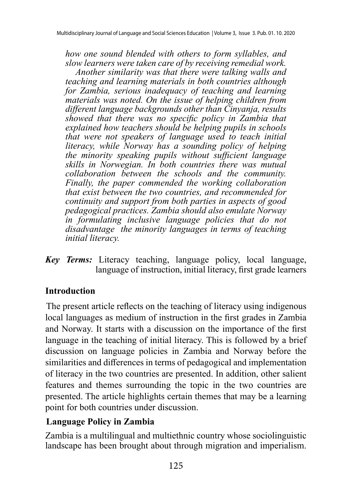*how one sound blended with others to form syllables, and slow learners were taken care of by receiving remedial work. Another similarity was that there were talking walls and teaching and learning materials in both countries although for Zambia, serious inadequacy of teaching and learning materials was noted. On the issue of helping children from different language backgrounds other than Cinyanja, results showed that there was no specific policy in Zambia that explained how teachers should be helping pupils in schools that were not speakers of language used to teach initial literacy, while Norway has a sounding policy of helping the minority speaking pupils without sufficient language skills in Norwegian. In both countries there was mutual collaboration between the schools and the community. Finally, the paper commended the working collaboration that exist between the two countries, and recommended for continuity and support from both parties in aspects of good pedagogical practices. Zambia should also emulate Norway in formulating inclusive language policies that do not disadvantage the minority languages in terms of teaching initial literacy.* 

*Key Terms:* Literacy teaching, language policy, local language, language of instruction, initial literacy, first grade learners

## **Introduction**

The present article reflects on the teaching of literacy using indigenous local languages as medium of instruction in the first grades in Zambia and Norway. It starts with a discussion on the importance of the first language in the teaching of initial literacy. This is followed by a brief discussion on language policies in Zambia and Norway before the similarities and differences in terms of pedagogical and implementation of literacy in the two countries are presented. In addition, other salient features and themes surrounding the topic in the two countries are presented. The article highlights certain themes that may be a learning point for both countries under discussion.

## **Language Policy in Zambia**

Zambia is a multilingual and multiethnic country whose sociolinguistic landscape has been brought about through migration and imperialism.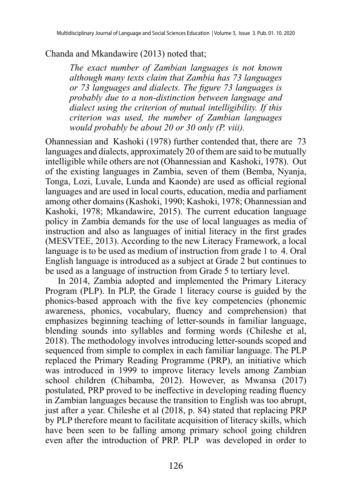#### Chanda and Mkandawire (2013) noted that;

*The exact number of Zambian languages is not known although many texts claim that Zambia has 73 languages or 73 languages and dialects. The figure 73 languages is probably due to a non-distinction between language and dialect using the criterion of mutual intelligibility. If this criterion was used, the number of Zambian languages would probably be about 20 or 30 only (P. viii).*

Ohannessian and Kashoki (1978) further contended that, there are 73 languages and dialects, approximately 20 of them are said to be mutually intelligible while others are not (Ohannessian and Kashoki, 1978). Out of the existing languages in Zambia, seven of them (Bemba, Nyanja, Tonga, Lozi, Luvale, Lunda and Kaonde) are used as official regional languages and are used in local courts, education, media and parliament among other domains (Kashoki, 1990; Kashoki, 1978; Ohannessian and Kashoki, 1978; Mkandawire, 2015). The current education language policy in Zambia demands for the use of local languages as media of instruction and also as languages of initial literacy in the first grades (MESVTEE, 2013). According to the new Literacy Framework, a local language is to be used as medium of instruction from grade 1 to 4. Oral English language is introduced as a subject at Grade 2 but continues to be used as a language of instruction from Grade 5 to tertiary level.

In 2014, Zambia adopted and implemented the Primary Literacy Program (PLP). In PLP, the Grade 1 literacy course is guided by the phonics-based approach with the five key competencies (phonemic awareness, phonics, vocabulary, fluency and comprehension) that emphasizes beginning teaching of letter-sounds in familiar language, blending sounds into syllables and forming words (Chileshe et al, 2018). The methodology involves introducing letter-sounds scoped and sequenced from simple to complex in each familiar language. The PLP replaced the Primary Reading Programme (PRP), an initiative which was introduced in 1999 to improve literacy levels among Zambian school children (Chibamba, 2012). However, as Mwansa (2017) postulated, PRP proved to be ineffective in developing reading fluency in Zambian languages because the transition to English was too abrupt, just after a year. Chileshe et al (2018, p. 84) stated that replacing PRP by PLP therefore meant to facilitate acquisition of literacy skills, which have been seen to be falling among primary school going children even after the introduction of PRP. PLP was developed in order to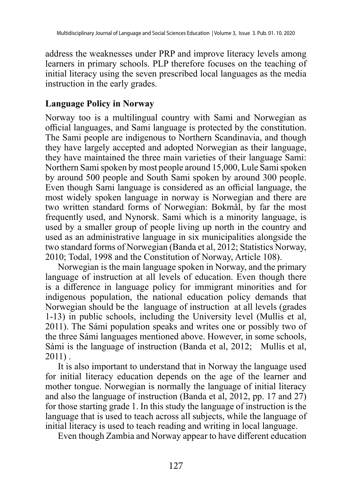address the weaknesses under PRP and improve literacy levels among learners in primary schools. PLP therefore focuses on the teaching of initial literacy using the seven prescribed local languages as the media instruction in the early grades.

#### **Language Policy in Norway**

Norway too is a multilingual country with Sami and Norwegian as official languages, and Sami language is protected by the constitution. The [Sami people](https://en.wikipedia.org/wiki/Sami_people) are [indigenous](https://en.wikipedia.org/wiki/Indigenous_people) to Northern Scandinavia, and though they have [largely accepted and adopted](https://en.wikipedia.org/wiki/Language_shift) Norwegian as their language, they have maintained the three main varieties of their language Sami: Northern Sami spoken by most people around 15,000, Lule Sami spoken by around 500 people and South Sami spoken by around 300 people. Even though Sami language is considered as an official language, the most widely spoken language in [norway](https://en.wikipedia.org/wiki/Norway) is Norwegian and there are two written standard forms of Norwegian: Bokmål, by far the most frequently used, and Nynorsk. Sami which is a minority language, is used by a smaller group of people living up north in the country and used as an administrative language in six municipalities alongside the two standard forms of Norwegian (Banda et al, 2012; Statistics Norway, 2010; Todal, 1998 and the Constitution of Norway, Article 108).

Norwegian is the main language spoken in Norway, and the primary language of instruction at all levels of education. Even though there is a difference in language policy for immigrant minorities and for indigenous population, the national education policy demands that Norwegian should be the language of instruction at all levels (grades 1-13) in public schools, including the University level (Mullis et al, 2011). The Sámi population speaks and writes one or possibly two of the three Sámi languages mentioned above. However, in some schools, Sámi is the language of instruction (Banda et al, 2012; Mullis et al, 2011) .

It is also important to understand that in Norway the language used for initial literacy education depends on the age of the learner and mother tongue. Norwegian is normally the language of initial literacy and also the language of instruction (Banda et al, 2012, pp. 17 and 27) for those starting grade 1. In this study the language of instruction is the language that is used to teach across all subjects, while the language of initial literacy is used to teach reading and writing in local language.

Even though Zambia and Norway appear to have different education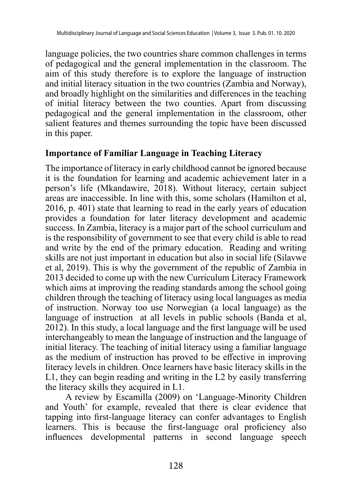language policies, the two countries share common challenges in terms of pedagogical and the general implementation in the classroom. The aim of this study therefore is to explore the language of instruction and initial literacy situation in the two countries (Zambia and Norway), and broadly highlight on the similarities and differences in the teaching of initial literacy between the two counties. Apart from discussing pedagogical and the general implementation in the classroom, other salient features and themes surrounding the topic have been discussed in this paper.

#### **Importance of Familiar Language in Teaching Literacy**

The importance of literacy in early childhood cannot be ignored because it is the foundation for learning and academic achievement later in a person's life (Mkandawire, 2018). Without literacy, certain subject areas are inaccessible. In line with this, some scholars (Hamilton et al, 2016, p. 401) state that learning to read in the early years of education provides a foundation for later literacy development and academic success. In Zambia, literacy is a major part of the school curriculum and is the responsibility of government to see that every child is able to read and write by the end of the primary education. Reading and writing skills are not just important in education but also in social life (Silavwe et al, 2019). This is why the government of the republic of Zambia in 2013 decided to come up with the new Curriculum Literacy Framework which aims at improving the reading standards among the school going children through the teaching of literacy using local languages as media of instruction. Norway too use Norwegian (a local language) as the language of instruction at all levels in public schools (Banda et al, 2012). In this study, a local language and the first language will be used interchangeably to mean the language of instruction and the language of initial literacy. The teaching of initial literacy using a familiar language as the medium of instruction has proved to be effective in improving literacy levels in children. Once learners have basic literacy skills in the L1, they can begin reading and writing in the L2 by easily transferring the literacy skills they acquired in L1.

A review by Escamilla (2009) on 'Language-Minority Children and Youth' for example, revealed that there is clear evidence that tapping into first-language literacy can confer advantages to English learners. This is because the first-language oral proficiency also influences developmental patterns in second language speech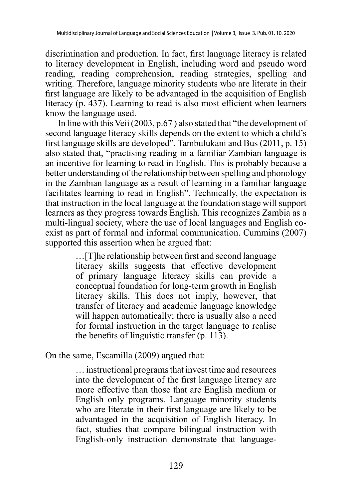discrimination and production. In fact, first language literacy is related to literacy development in English, including word and pseudo word reading, reading comprehension, reading strategies, spelling and writing. Therefore, language minority students who are literate in their first language are likely to be advantaged in the acquisition of English literacy (p. 437). Learning to read is also most efficient when learners know the language used.

In line with this Veii (2003, p.67 ) also stated that "the development of second language literacy skills depends on the extent to which a child's first language skills are developed". Tambulukani and Bus (2011, p. 15) also stated that, "practising reading in a familiar Zambian language is an incentive for learning to read in English. This is probably because a better understanding of the relationship between spelling and phonology in the Zambian language as a result of learning in a familiar language facilitates learning to read in English". Technically, the expectation is that instruction in the local language at the foundation stage will support learners as they progress towards English. This recognizes Zambia as a multi-lingual society, where the use of local languages and English coexist as part of formal and informal communication. Cummins (2007) supported this assertion when he argued that:

> …[T]he relationship between first and second language literacy skills suggests that effective development of primary language literacy skills can provide a conceptual foundation for long-term growth in English literacy skills. This does not imply, however, that transfer of literacy and academic language knowledge will happen automatically; there is usually also a need for formal instruction in the target language to realise the benefits of linguistic transfer (p. 113).

On the same, Escamilla (2009) argued that:

… instructional programs that invest time and resources into the development of the first language literacy are more effective than those that are English medium or English only programs. Language minority students who are literate in their first language are likely to be advantaged in the acquisition of English literacy. In fact, studies that compare bilingual instruction with English-only instruction demonstrate that language-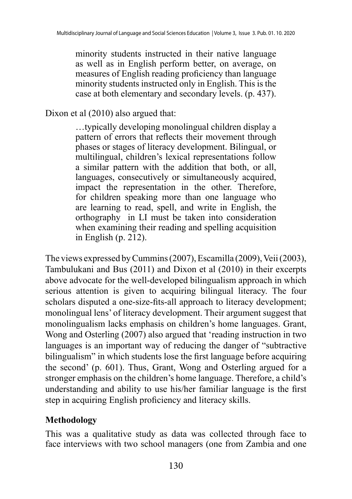minority students instructed in their native language as well as in English perform better, on average, on measures of English reading proficiency than language minority students instructed only in English. This is the case at both elementary and secondary levels. (p. 437).

#### Dixon et al (2010) also argued that:

…typically developing monolingual children display a pattern of errors that reflects their movement through phases or stages of literacy development. Bilingual, or multilingual, children's lexical representations follow a similar pattern with the addition that both, or all, languages, consecutively or simultaneously acquired, impact the representation in the other. Therefore, for children speaking more than one language who are learning to read, spell, and write in English, the orthography in LI must be taken into consideration when examining their reading and spelling acquisition in English (p. 212).

The views expressed by Cummins (2007), Escamilla (2009), Veii (2003), Tambulukani and Bus (2011) and Dixon et al (2010) in their excerpts above advocate for the well-developed bilingualism approach in which serious attention is given to acquiring bilingual literacy. The four scholars disputed a one-size-fits-all approach to literacy development; monolingual lens' of literacy development. Their argument suggest that monolingualism lacks emphasis on children's home languages. Grant, Wong and Osterling (2007) also argued that 'reading instruction in two languages is an important way of reducing the danger of "subtractive bilingualism" in which students lose the first language before acquiring the second' (p. 601). Thus, Grant, Wong and Osterling argued for a stronger emphasis on the children's home language. Therefore, a child's understanding and ability to use his/her familiar language is the first step in acquiring English proficiency and literacy skills.

#### **Methodology**

This was a qualitative study as data was collected through face to face interviews with two school managers (one from Zambia and one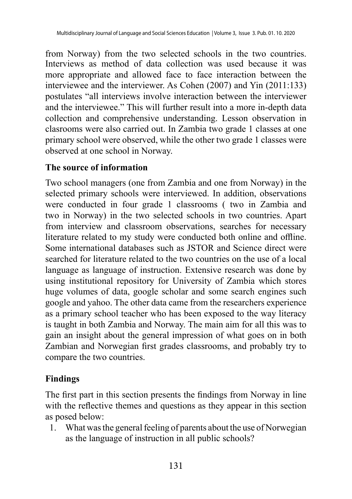from Norway) from the two selected schools in the two countries. Interviews as method of data collection was used because it was more appropriate and allowed face to face interaction between the interviewee and the interviewer. As Cohen (2007) and Yin (2011:133) postulates "all interviews involve interaction between the interviewer and the interviewee." This will further result into a more in-depth data collection and comprehensive understanding. Lesson observation in clasrooms were also carried out. In Zambia two grade 1 classes at one primary school were observed, while the other two grade 1 classes were observed at one school in Norway.

### **The source of information**

Two school managers (one from Zambia and one from Norway) in the selected primary schools were interviewed. In addition, observations were conducted in four grade 1 classrooms ( two in Zambia and two in Norway) in the two selected schools in two countries. Apart from interview and classroom observations, searches for necessary literature related to my study were conducted both online and offline. Some international databases such as JSTOR and Science direct were searched for literature related to the two countries on the use of a local language as language of instruction. Extensive research was done by using institutional repository for University of Zambia which stores huge volumes of data, google scholar and some search engines such google and yahoo. The other data came from the researchers experience as a primary school teacher who has been exposed to the way literacy is taught in both Zambia and Norway. The main aim for all this was to gain an insight about the general impression of what goes on in both Zambian and Norwegian first grades classrooms, and probably try to compare the two countries.

## **Findings**

The first part in this section presents the findings from Norway in line with the reflective themes and questions as they appear in this section as posed below:

1. What was the general feeling of parents about the use of Norwegian as the language of instruction in all public schools?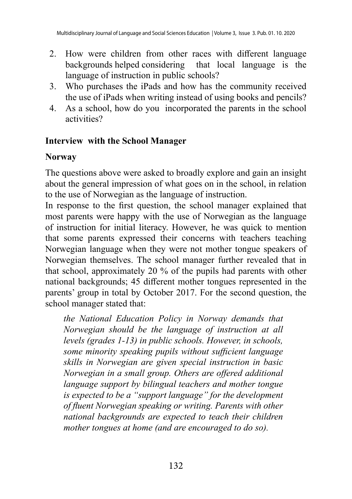- 2. How were children from other races with different language backgrounds helped considering that local language is the language of instruction in public schools?
- 3. Who purchases the iPads and how has the community received the use of iPads when writing instead of using books and pencils?
- 4. As a school, how do you incorporated the parents in the school activities?

### **Interview with the School Manager**

### **Norway**

The questions above were asked to broadly explore and gain an insight about the general impression of what goes on in the school, in relation to the use of Norwegian as the language of instruction.

In response to the first question, the school manager explained that most parents were happy with the use of Norwegian as the language of instruction for initial literacy. However, he was quick to mention that some parents expressed their concerns with teachers teaching Norwegian language when they were not mother tongue speakers of Norwegian themselves. The school manager further revealed that in that school, approximately 20 % of the pupils had parents with other national backgrounds; 45 different mother tongues represented in the parents' group in total by October 2017. For the second question, the school manager stated that:

*the National Education Policy in Norway demands that Norwegian should be the language of instruction at all levels (grades 1-13) in public schools. However, in schools, some minority speaking pupils without sufficient language skills in Norwegian are given special instruction in basic Norwegian in a small group. Others are offered additional language support by bilingual teachers and mother tongue is expected to be a "support language" for the development of fluent Norwegian speaking or writing. Parents with other national backgrounds are expected to teach their children mother tongues at home (and are encouraged to do so).*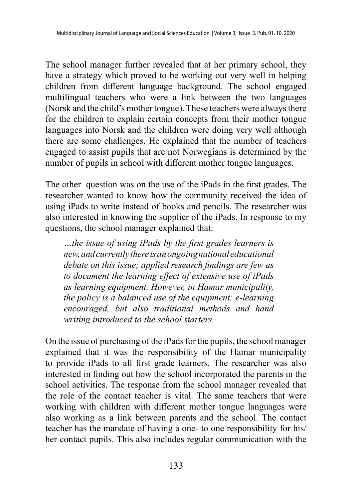The school manager further revealed that at her primary school, they have a strategy which proved to be working out very well in helping children from different language background. The school engaged multilingual teachers who were a link between the two languages (Norsk and the child's mother tongue). These teachers were always there for the children to explain certain concepts from their mother tongue languages into Norsk and the children were doing very well although there are some challenges. He explained that the number of teachers engaged to assist pupils that are not Norwegians is determined by the number of pupils in school with different mother tongue languages.

The other question was on the use of the iPads in the first grades. The researcher wanted to know how the community received the idea of using iPads to write instead of books and pencils. The researcher was also interested in knowing the supplier of the iPads. In response to my questions, the school manager explained that:

*…the issue of using iPads by the first grades learners is new, and currently there is an ongoing national educational debate on this issue; applied research findings are few as to document the learning effect of extensive use of iPads as learning equipment. However, in Hamar municipality, the policy is a balanced use of the equipment; e-learning encouraged, but also traditional methods and hand writing introduced to the school starters.*

On the issue of purchasing of the iPads for the pupils, the school manager explained that it was the responsibility of the Hamar municipality to provide iPads to all first grade learners. The researcher was also interested in finding out how the school incorporated the parents in the school activities. The response from the school manager revealed that the role of the contact teacher is vital. The same teachers that were working with children with different mother tongue languages were also working as a link between parents and the school. The contact teacher has the mandate of having a one- to one responsibility for his/ her contact pupils. This also includes regular communication with the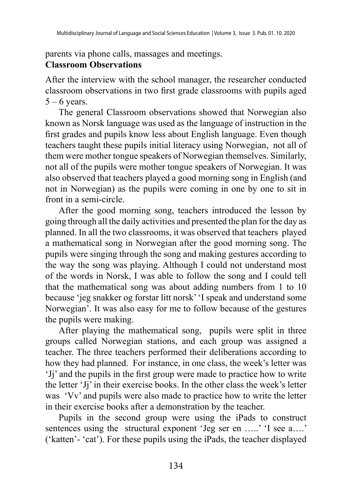parents via phone calls, massages and meetings.

#### **Classroom Observations**

After the interview with the school manager, the researcher conducted classroom observations in two first grade classrooms with pupils aged  $5 - 6$  years.

The general Classroom observations showed that Norwegian also known as Norsk language was used as the language of instruction in the first grades and pupils know less about English language. Even though teachers taught these pupils initial literacy using Norwegian, not all of them were mother tongue speakers of Norwegian themselves. Similarly, not all of the pupils were mother tongue speakers of Norwegian. It was also observed that teachers played a good morning song in English (and not in Norwegian) as the pupils were coming in one by one to sit in front in a semi-circle.

After the good morning song, teachers introduced the lesson by going through all the daily activities and presented the plan for the day as planned. In all the two classrooms, it was observed that teachers played a mathematical song in Norwegian after the good morning song. The pupils were singing through the song and making gestures according to the way the song was playing. Although I could not understand most of the words in Norsk, I was able to follow the song and I could tell that the mathematical song was about adding numbers from 1 to 10 because 'jeg snakker og forstar litt norsk' 'I speak and understand some Norwegian'. It was also easy for me to follow because of the gestures the pupils were making.

After playing the mathematical song, pupils were split in three groups called Norwegian stations, and each group was assigned a teacher. The three teachers performed their deliberations according to how they had planned. For instance, in one class, the week's letter was 'Jj' and the pupils in the first group were made to practice how to write the letter 'Jj' in their exercise books. In the other class the week's letter was 'Vv' and pupils were also made to practice how to write the letter in their exercise books after a demonstration by the teacher.

Pupils in the second group were using the iPads to construct sentences using the structural exponent 'Jeg ser en .....' 'I see a....' ('katten'- 'cat'). For these pupils using the iPads, the teacher displayed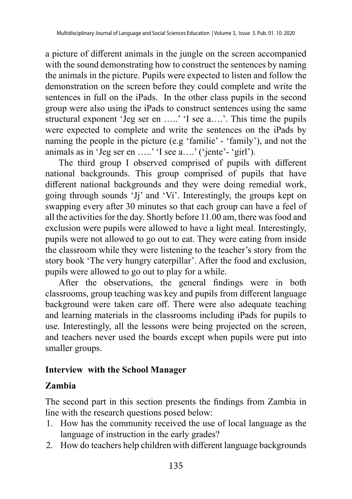a picture of different animals in the jungle on the screen accompanied with the sound demonstrating how to construct the sentences by naming the animals in the picture. Pupils were expected to listen and follow the demonstration on the screen before they could complete and write the sentences in full on the iPads. In the other class pupils in the second group were also using the iPads to construct sentences using the same structural exponent 'Jeg ser en .....' 'I see a....'. This time the pupils were expected to complete and write the sentences on the iPads by naming the people in the picture (e.g 'familie' - 'family'), and not the animals as in 'Jeg ser en …..' 'I see a….' ('jente'- 'girl').

The third group I observed comprised of pupils with different national backgrounds. This group comprised of pupils that have different national backgrounds and they were doing remedial work, going through sounds 'Jj' and 'Vi'. Interestingly, the groups kept on swapping every after 30 minutes so that each group can have a feel of all the activities for the day. Shortly before 11.00 am, there was food and exclusion were pupils were allowed to have a light meal. Interestingly, pupils were not allowed to go out to eat. They were eating from inside the classroom while they were listening to the teacher's story from the story book 'The very hungry caterpillar'. After the food and exclusion, pupils were allowed to go out to play for a while.

After the observations, the general findings were in both classrooms, group teaching was key and pupils from different language background were taken care off. There were also adequate teaching and learning materials in the classrooms including iPads for pupils to use. Interestingly, all the lessons were being projected on the screen, and teachers never used the boards except when pupils were put into smaller groups.

#### **Interview with the School Manager**

#### **Zambia**

The second part in this section presents the findings from Zambia in line with the research questions posed below:

- 1. How has the community received the use of local language as the language of instruction in the early grades?
- 2. How do teachers help children with different language backgrounds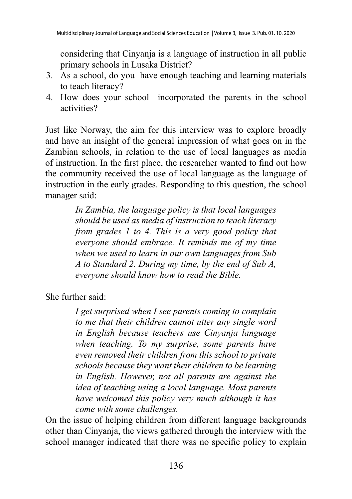considering that Cinyanja is a language of instruction in all public primary schools in Lusaka District?

- 3. As a school, do you have enough teaching and learning materials to teach literacy?
- 4. How does your school incorporated the parents in the school activities?

Just like Norway, the aim for this interview was to explore broadly and have an insight of the general impression of what goes on in the Zambian schools, in relation to the use of local languages as media of instruction. In the first place, the researcher wanted to find out how the community received the use of local language as the language of instruction in the early grades. Responding to this question, the school manager said:

> *In Zambia, the language policy is that local languages should be used as media of instruction to teach literacy from grades 1 to 4. This is a very good policy that everyone should embrace. It reminds me of my time when we used to learn in our own languages from Sub A to Standard 2. During my time, by the end of Sub A, everyone should know how to read the Bible.*

She further said:

*I get surprised when I see parents coming to complain to me that their children cannot utter any single word in English because teachers use Cinyanja language when teaching. To my surprise, some parents have even removed their children from this school to private schools because they want their children to be learning in English. However, not all parents are against the idea of teaching using a local language. Most parents have welcomed this policy very much although it has come with some challenges.*

On the issue of helping children from different language backgrounds other than Cinyanja, the views gathered through the interview with the school manager indicated that there was no specific policy to explain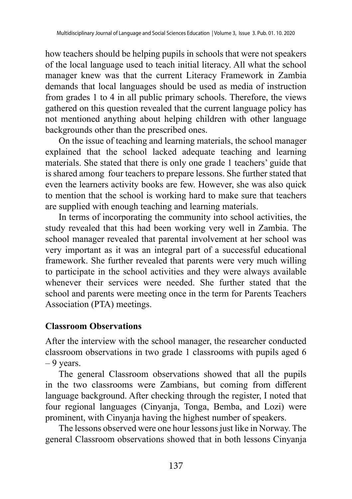how teachers should be helping pupils in schools that were not speakers of the local language used to teach initial literacy. All what the school manager knew was that the current Literacy Framework in Zambia demands that local languages should be used as media of instruction from grades 1 to 4 in all public primary schools. Therefore, the views gathered on this question revealed that the current language policy has not mentioned anything about helping children with other language backgrounds other than the prescribed ones.

On the issue of teaching and learning materials, the school manager explained that the school lacked adequate teaching and learning materials. She stated that there is only one grade 1 teachers' guide that is shared among four teachers to prepare lessons. She further stated that even the learners activity books are few. However, she was also quick to mention that the school is working hard to make sure that teachers are supplied with enough teaching and learning materials.

In terms of incorporating the community into school activities, the study revealed that this had been working very well in Zambia. The school manager revealed that parental involvement at her school was very important as it was an integral part of a successful educational framework. She further revealed that parents were very much willing to participate in the school activities and they were always available whenever their services were needed. She further stated that the school and parents were meeting once in the term for Parents Teachers Association (PTA) meetings.

#### **Classroom Observations**

After the interview with the school manager, the researcher conducted classroom observations in two grade 1 classrooms with pupils aged 6  $-9$  years.

The general Classroom observations showed that all the pupils in the two classrooms were Zambians, but coming from different language background. After checking through the register, I noted that four regional languages (Cinyanja, Tonga, Bemba, and Lozi) were prominent, with Cinyanja having the highest number of speakers.

The lessons observed were one hour lessons just like in Norway. The general Classroom observations showed that in both lessons Cinyanja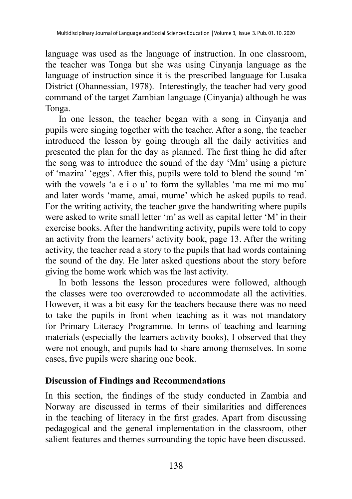language was used as the language of instruction. In one classroom, the teacher was Tonga but she was using Cinyanja language as the language of instruction since it is the prescribed language for Lusaka District (Ohannessian, 1978). Interestingly, the teacher had very good command of the target Zambian language (Cinyanja) although he was Tonga.

In one lesson, the teacher began with a song in Cinyanja and pupils were singing together with the teacher. After a song, the teacher introduced the lesson by going through all the daily activities and presented the plan for the day as planned. The first thing he did after the song was to introduce the sound of the day 'Mm' using a picture of 'mazira' 'eggs'. After this, pupils were told to blend the sound 'm' with the vowels 'a e i o u' to form the syllables 'ma me mi mo mu' and later words 'mame, amai, mume' which he asked pupils to read. For the writing activity, the teacher gave the handwriting where pupils were asked to write small letter 'm' as well as capital letter 'M' in their exercise books. After the handwriting activity, pupils were told to copy an activity from the learners' activity book, page 13. After the writing activity, the teacher read a story to the pupils that had words containing the sound of the day. He later asked questions about the story before giving the home work which was the last activity.

In both lessons the lesson procedures were followed, although the classes were too overcrowded to accommodate all the activities. However, it was a bit easy for the teachers because there was no need to take the pupils in front when teaching as it was not mandatory for Primary Literacy Programme. In terms of teaching and learning materials (especially the learners activity books), I observed that they were not enough, and pupils had to share among themselves. In some cases, five pupils were sharing one book.

#### **Discussion of Findings and Recommendations**

In this section, the findings of the study conducted in Zambia and Norway are discussed in terms of their similarities and differences in the teaching of literacy in the first grades. Apart from discussing pedagogical and the general implementation in the classroom, other salient features and themes surrounding the topic have been discussed.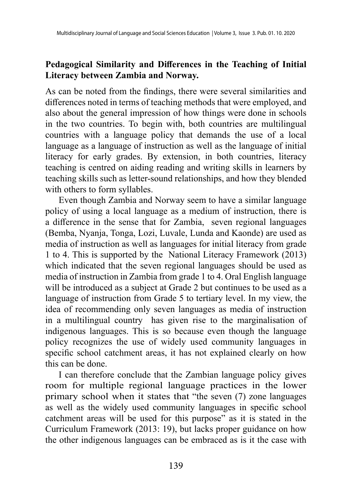#### **Pedagogical Similarity and Differences in the Teaching of Initial Literacy between Zambia and Norway.**

As can be noted from the findings, there were several similarities and differences noted in terms of teaching methods that were employed, and also about the general impression of how things were done in schools in the two countries. To begin with, both countries are multilingual countries with a language policy that demands the use of a local language as a language of instruction as well as the language of initial literacy for early grades. By extension, in both countries, literacy teaching is centred on aiding reading and writing skills in learners by teaching skills such as letter-sound relationships, and how they blended with others to form syllables.

Even though Zambia and Norway seem to have a similar language policy of using a local language as a medium of instruction, there is a difference in the sense that for Zambia, seven regional languages (Bemba, Nyanja, Tonga, Lozi, Luvale, Lunda and Kaonde) are used as media of instruction as well as languages for initial literacy from grade 1 to 4. This is supported by the National Literacy Framework (2013) which indicated that the seven regional languages should be used as media of instruction in Zambia from grade 1 to 4. Oral English language will be introduced as a subject at Grade 2 but continues to be used as a language of instruction from Grade 5 to tertiary level. In my view, the idea of recommending only seven languages as media of instruction in a multilingual country has given rise to the marginalisation of indigenous languages. This is so because even though the language policy recognizes the use of widely used community languages in specific school catchment areas, it has not explained clearly on how this can be done.

I can therefore conclude that the Zambian language policy gives room for multiple regional language practices in the lower primary school when it states that "the seven (7) zone languages as well as the widely used community languages in specific school catchment areas will be used for this purpose" as it is stated in the Curriculum Framework (2013: 19), but lacks proper guidance on how the other indigenous languages can be embraced as is it the case with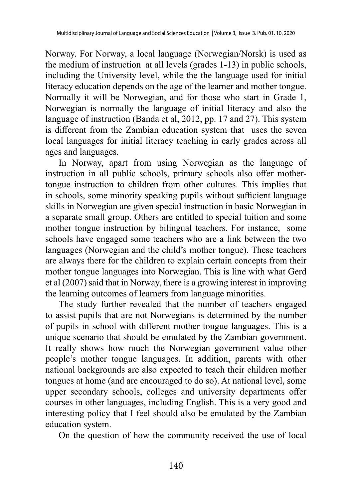Norway. For Norway, a local language (Norwegian/Norsk) is used as the medium of instruction at all levels (grades 1-13) in public schools, including the University level, while the the language used for initial literacy education depends on the age of the learner and mother tongue. Normally it will be Norwegian, and for those who start in Grade 1, Norwegian is normally the language of initial literacy and also the language of instruction (Banda et al, 2012, pp. 17 and 27). This system is different from the Zambian education system that uses the seven local languages for initial literacy teaching in early grades across all ages and languages.

In Norway, apart from using Norwegian as the language of instruction in all public schools, primary schools also offer mothertongue instruction to children from other cultures. This implies that in schools, some minority speaking pupils without sufficient language skills in Norwegian are given special instruction in basic Norwegian in a separate small group. Others are entitled to special tuition and some mother tongue instruction by bilingual teachers. For instance, some schools have engaged some teachers who are a link between the two languages (Norwegian and the child's mother tongue). These teachers are always there for the children to explain certain concepts from their mother tongue languages into Norwegian. This is line with what Gerd et al (2007) said that in Norway, there is a growing interest in improving the learning outcomes of learners from language minorities.

The study further revealed that the number of teachers engaged to assist pupils that are not Norwegians is determined by the number of pupils in school with different mother tongue languages. This is a unique scenario that should be emulated by the Zambian government. It really shows how much the Norwegian government value other people's mother tongue languages. In addition, parents with other national backgrounds are also expected to teach their children mother tongues at home (and are encouraged to do so). At national level, some upper secondary schools, colleges and university departments offer courses in other languages, including English. This is a very good and interesting policy that I feel should also be emulated by the Zambian education system.

On the question of how the community received the use of local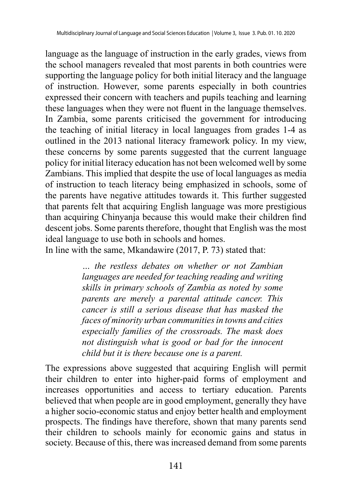language as the language of instruction in the early grades, views from the school managers revealed that most parents in both countries were supporting the language policy for both initial literacy and the language of instruction. However, some parents especially in both countries expressed their concern with teachers and pupils teaching and learning these languages when they were not fluent in the language themselves. In Zambia, some parents criticised the government for introducing the teaching of initial literacy in local languages from grades 1-4 as outlined in the 2013 national literacy framework policy. In my view, these concerns by some parents suggested that the current language policy for initial literacy education has not been welcomed well by some Zambians. This implied that despite the use of local languages as media of instruction to teach literacy being emphasized in schools, some of the parents have negative attitudes towards it. This further suggested that parents felt that acquiring English language was more prestigious than acquiring Chinyanja because this would make their children find descent jobs. Some parents therefore, thought that English was the most ideal language to use both in schools and homes.

In line with the same, Mkandawire (2017, P. 73) stated that:

*… the restless debates on whether or not Zambian languages are needed for teaching reading and writing skills in primary schools of Zambia as noted by some parents are merely a parental attitude cancer. This cancer is still a serious disease that has masked the faces of minority urban communities in towns and cities especially families of the crossroads. The mask does not distinguish what is good or bad for the innocent child but it is there because one is a parent.*

The expressions above suggested that acquiring English will permit their children to enter into higher-paid forms of employment and increases opportunities and access to [tertiary education](http://en.wikipedia.org/wiki/Higher_education). Parents believed that when people are in good employment, generally they have a higher socio-economic status and enjoy better health and employment prospects. The findings have therefore, shown that many parents send their children to schools mainly for economic gains and status in society. Because of this, there was increased demand from some parents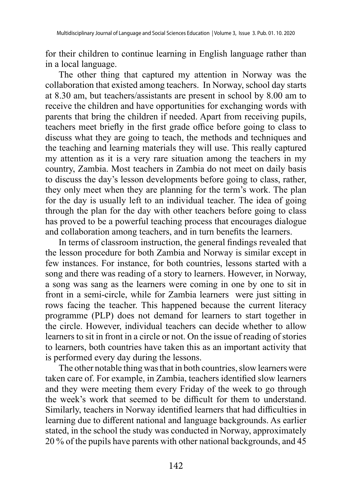for their children to continue learning in English language rather than in a local language.

The other thing that captured my attention in Norway was the collaboration that existed among teachers. In Norway, school day starts at 8.30 am, but teachers/assistants are present in school by 8.00 am to receive the children and have opportunities for exchanging words with parents that bring the children if needed. Apart from receiving pupils, teachers meet briefly in the first grade office before going to class to discuss what they are going to teach, the methods and techniques and the teaching and learning materials they will use. This really captured my attention as it is a very rare situation among the teachers in my country, Zambia. Most teachers in Zambia do not meet on daily basis to discuss the day's lesson developments before going to class, rather, they only meet when they are planning for the term's work. The plan for the day is usually left to an individual teacher. The idea of going through the plan for the day with other teachers before going to class has proved to be a powerful teaching process that encourages dialogue and collaboration among teachers, and in turn benefits the learners.

In terms of classroom instruction, the general findings revealed that the lesson procedure for both Zambia and Norway is similar except in few instances. For instance, for both countries, lessons started with a song and there was reading of a story to learners. However, in Norway, a song was sang as the learners were coming in one by one to sit in front in a semi-circle, while for Zambia learners were just sitting in rows facing the teacher. This happened because the current literacy programme (PLP) does not demand for learners to start together in the circle. However, individual teachers can decide whether to allow learners to sit in front in a circle or not. On the issue of reading of stories to learners, both countries have taken this as an important activity that is performed every day during the lessons.

The other notable thing was that in both countries, slow learners were taken care of. For example, in Zambia, teachers identified slow learners and they were meeting them every Friday of the week to go through the week's work that seemed to be difficult for them to understand. Similarly, teachers in Norway identified learners that had difficulties in learning due to different national and language backgrounds. As earlier stated, in the school the study was conducted in Norway, approximately 20 % of the pupils have parents with other national backgrounds, and 45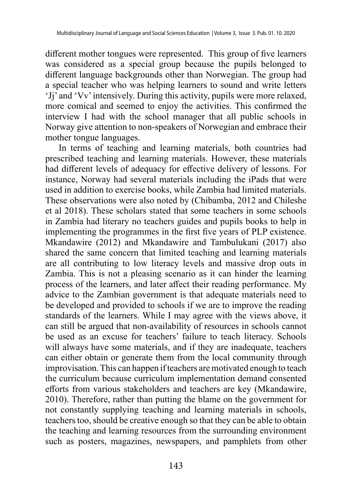different mother tongues were represented. This group of five learners was considered as a special group because the pupils belonged to different language backgrounds other than Norwegian. The group had a special teacher who was helping learners to sound and write letters 'Jj' and 'Vv' intensively. During this activity, pupils were more relaxed, more comical and seemed to enjoy the activities. This confirmed the interview I had with the school manager that all public schools in Norway give attention to non-speakers of Norwegian and embrace their mother tongue languages.

In terms of teaching and learning materials, both countries had prescribed teaching and learning materials. However, these materials had different levels of adequacy for effective delivery of lessons. For instance, Norway had several materials including the iPads that were used in addition to exercise books, while Zambia had limited materials. These observations were also noted by (Chibamba, 2012 and Chileshe et al 2018). These scholars stated that some teachers in some schools in Zambia had literary no teachers guides and pupils books to help in implementing the programmes in the first five years of PLP existence. Mkandawire (2012) and Mkandawire and Tambulukani (2017) also shared the same concern that limited teaching and learning materials are all contributing to low literacy levels and massive drop outs in Zambia. This is not a pleasing scenario as it can hinder the learning process of the learners, and later affect their reading performance. My advice to the Zambian government is that adequate materials need to be developed and provided to schools if we are to improve the reading standards of the learners. While I may agree with the views above, it can still be argued that non-availability of resources in schools cannot be used as an excuse for teachers' failure to teach literacy. Schools will always have some materials, and if they are inadequate, teachers can either obtain or generate them from the local community through improvisation. This can happen if teachers are motivated enough to teach the curriculum because curriculum implementation demand consented efforts from various stakeholders and teachers are key (Mkandawire, 2010). Therefore, rather than putting the blame on the government for not constantly supplying teaching and learning materials in schools, teachers too, should be creative enough so that they can be able to obtain the teaching and learning resources from the surrounding environment such as posters, magazines, newspapers, and pamphlets from other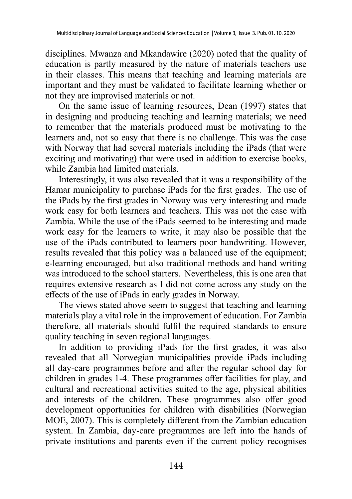disciplines. Mwanza and Mkandawire (2020) noted that the quality of education is partly measured by the nature of materials teachers use in their classes. This means that teaching and learning materials are important and they must be validated to facilitate learning whether or not they are improvised materials or not.

On the same issue of learning resources, Dean (1997) states that in designing and producing teaching and learning materials; we need to remember that the materials produced must be motivating to the learners and, not so easy that there is no challenge. This was the case with Norway that had several materials including the iPads (that were exciting and motivating) that were used in addition to exercise books, while Zambia had limited materials.

Interestingly, it was also revealed that it was a responsibility of the Hamar municipality to purchase iPads for the first grades. The use of the iPads by the first grades in Norway was very interesting and made work easy for both learners and teachers. This was not the case with Zambia. While the use of the iPads seemed to be interesting and made work easy for the learners to write, it may also be possible that the use of the iPads contributed to learners poor handwriting. However, results revealed that this policy was a balanced use of the equipment; e-learning encouraged, but also traditional methods and hand writing was introduced to the school starters. Nevertheless, this is one area that requires extensive research as I did not come across any study on the effects of the use of iPads in early grades in Norway.

The views stated above seem to suggest that teaching and learning materials play a vital role in the improvement of education. For Zambia therefore, all materials should fulfil the required standards to ensure quality teaching in seven regional languages.

In addition to providing iPads for the first grades, it was also revealed that all Norwegian municipalities provide iPads including all day-care programmes before and after the regular school day for children in grades 1-4. These programmes offer facilities for play, and cultural and recreational activities suited to the age, physical abilities and interests of the children. These programmes also offer good development opportunities for children with disabilities (Norwegian MOE, 2007). This is completely different from the Zambian education system. In Zambia, day-care programmes are left into the hands of private institutions and parents even if the current policy recognises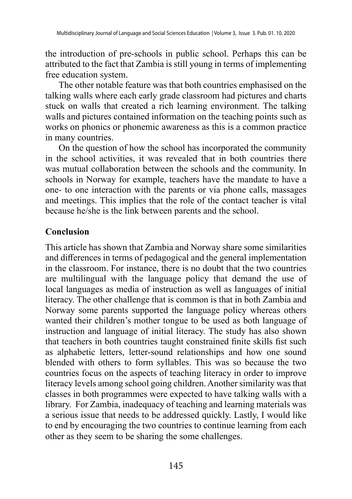the introduction of pre-schools in public school. Perhaps this can be attributed to the fact that Zambia is still young in terms of implementing free education system.

The other notable feature was that both countries emphasised on the talking walls where each early grade classroom had pictures and charts stuck on walls that created a rich learning environment. The talking walls and pictures contained information on the teaching points such as works on phonics or phonemic awareness as this is a common practice in many countries.

On the question of how the school has incorporated the community in the school activities, it was revealed that in both countries there was mutual collaboration between the schools and the community. In schools in Norway for example, teachers have the mandate to have a one- to one interaction with the parents or via phone calls, massages and meetings. This implies that the role of the contact teacher is vital because he/she is the link between parents and the school.

#### **Conclusion**

This article has shown that Zambia and Norway share some similarities and differences in terms of pedagogical and the general implementation in the classroom. For instance, there is no doubt that the two countries are multilingual with the language policy that demand the use of local languages as media of instruction as well as languages of initial literacy. The other challenge that is common is that in both Zambia and Norway some parents supported the language policy whereas others wanted their children's mother tongue to be used as both language of instruction and language of initial literacy. The study has also shown that teachers in both countries taught constrained finite skills fist such as alphabetic letters, letter-sound relationships and how one sound blended with others to form syllables. This was so because the two countries focus on the aspects of teaching literacy in order to improve literacy levels among school going children. Another similarity was that classes in both programmes were expected to have talking walls with a library. For Zambia, inadequacy of teaching and learning materials was a serious issue that needs to be addressed quickly. Lastly, I would like to end by encouraging the two countries to continue learning from each other as they seem to be sharing the some challenges.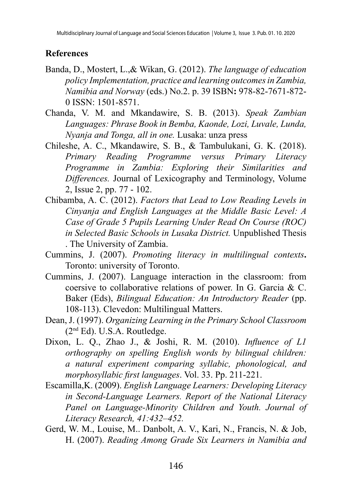### **References**

- Banda, D., Mostert, L.,& Wikan, G. (2012). *The language of education policy Implementation, practice and learning outcomesin Zambia, Namibia and Norway* (eds.) No.2. p. 39 ISBN**:** 978-82-7671-872- 0 ISSN: 1501-8571.
- Chanda, V. M. and Mkandawire, S. B. (2013). *Speak Zambian Languages: Phrase Book in Bemba, Kaonde, Lozi, Luvale, Lunda, Nyanja and Tonga, all in one.* Lusaka: unza press
- Chileshe, A. C., Mkandawire, S. B., & Tambulukani, G. K. (2018). *Primary Reading Programme versus Primary Literacy Programme in Zambia: Exploring their Similarities and Differences.* Journal of Lexicography and Terminology, Volume 2, Issue 2, pp. 77 - 102.
- Chibamba, A. C. (2012). *Factors that Lead to Low Reading Levels in Cinyanja and English Languages at the Middle Basic Level: A Case of Grade 5 Pupils Learning Under Read On Course (ROC) in Selected Basic Schools in Lusaka District.* Unpublished Thesis . The University of Zambia.
- Cummins, J. (2007). *Promoting literacy in multilingual contexts***.**  Toronto: university of Toronto.
- Cummins, J. (2007). Language interaction in the classroom: from coersive to collaborative relations of power. In G. Garcia & C. Baker (Eds), *Bilingual Education: An Introductory Reader* (pp. 108-113). Clevedon: Multilingual Matters.
- Dean, J. (1997). *Organizing Learning in the Primary School Classroom* (2nd Ed). U.S.A. Routledge.
- Dixon, L. Q., Zhao J., & Joshi, R. M. (2010). *Influence of L1 orthography on spelling English words by bilingual children: a natural experiment comparing syllabic, phonological, and morphosyllabic first languages*. Vol. 33. Pp. 211-221.
- Escamilla,K. (2009). *English Language Learners: Developing Literacy in Second-Language Learners. Report of the National Literacy Panel on Language-Minority Children and Youth. Journal of Literacy Research, 41:432–452.*
- Gerd, W. M., Louise, M.. Danbolt, A. V., Kari, N., Francis, N. & Job, H. (2007). *Reading Among Grade Six Learners in Namibia and*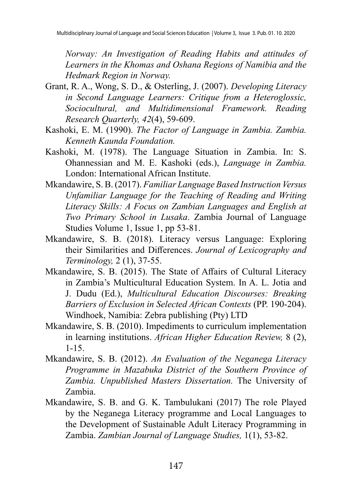*Norway: An Investigation of Reading Habits and attitudes of Learners in the Khomas and Oshana Regions of Namibia and the Hedmark Region in Norway.*

- Grant, R. A., Wong, S. D., & Osterling, J. (2007). *Developing Literacy in Second Language Learners: Critique from a Heteroglossic, Sociocultural, and Multidimensional Framework. Reading Research Quarterly, 42*(4), 59-609.
- Kashoki, E. M. (1990). *The Factor of Language in Zambia. Zambia. Kenneth Kaunda Foundation.*
- Kashoki, M. (1978). The Language Situation in Zambia. In: S. Ohannessian and M. E. Kashoki (eds.), *Language in Zambia.*  London: International African Institute.
- Mkandawire, S. B. (2017). *Familiar Language Based Instruction Versus Unfamiliar Language for the Teaching of Reading and Writing Literacy Skills: A Focus on Zambian Languages and English at Two Primary School in Lusaka*. Zambia Journal of Language Studies Volume 1, Issue 1, pp 53-81.
- Mkandawire, S. B. (2018). Literacy versus Language: Exploring their Similarities and Differences. *Journal of Lexicography and Terminology,* 2 (1), 37-55.
- Mkandawire, S. B. (2015). The State of Affairs of Cultural Literacy in Zambia's Multicultural Education System. In A. L. Jotia and J. Dudu (Ed.), *Multicultural Education Discourses: Breaking Barriers of Exclusion in Selected African Contexts* (PP. 190-204). Windhoek, Namibia: Zebra publishing (Pty) LTD
- Mkandawire, S. B. (2010). Impediments to curriculum implementation in learning institutions. *African Higher Education Review,* 8 (2), 1-15.
- Mkandawire, S. B. (2012). *An Evaluation of the Neganega Literacy Programme in Mazabuka District of the Southern Province of Zambia. Unpublished Masters Dissertation.* The University of Zambia.
- Mkandawire, S. B. and G. K. Tambulukani (2017) The role Played by the Neganega Literacy programme and Local Languages to the Development of Sustainable Adult Literacy Programming in Zambia. *Zambian Journal of Language Studies,* 1(1), 53-82.